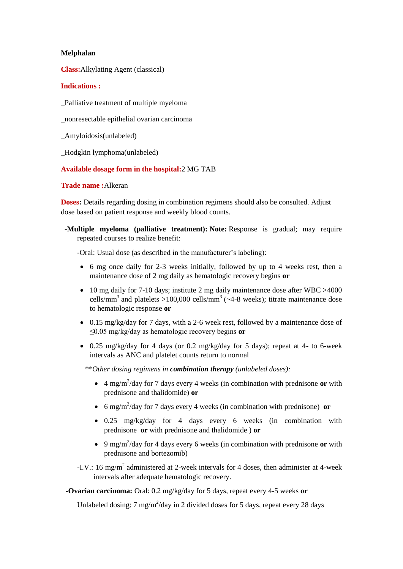#### **Melphalan**

**Class:**Alkylating Agent (classical)

### **Indications :**

\_Palliative treatment of multiple myeloma

\_nonresectable epithelial ovarian carcinoma

\_Amyloidosis(unlabeled)

\_Hodgkin lymphoma(unlabeled)

# **Available dosage form in the hospital:**2 MG TAB

### **Trade name :**Alkeran

**Doses:** Details regarding dosing in combination regimens should also be consulted. Adjust dose based on patient response and weekly blood counts.

 **-Multiple myeloma (palliative treatment): Note:** Response is gradual; may require repeated courses to realize benefit:

-Oral: Usual dose (as described in the manufacturer's labeling):

- 6 mg once daily for 2-3 weeks initially, followed by up to 4 weeks rest, then a maintenance dose of 2 mg daily as hematologic recovery begins **or**
- 10 mg daily for 7-10 days; institute 2 mg daily maintenance dose after WBC >4000 cells/mm<sup>3</sup> and platelets >100,000 cells/mm<sup>3</sup> ( $\sim$ 4-8 weeks); titrate maintenance dose to hematologic response **or**
- $\bullet$  0.15 mg/kg/day for 7 days, with a 2-6 week rest, followed by a maintenance dose of ≤0.05 mg/kg/day as hematologic recovery begins **or**
- $\bullet$  0.25 mg/kg/day for 4 days (or 0.2 mg/kg/day for 5 days); repeat at 4- to 6-week intervals as ANC and platelet counts return to normal

*\*\*Other dosing regimens in combination therapy (unlabeled doses):*

- 4 mg/m<sup>2</sup> /day for 7 days every 4 weeks (in combination with prednisone **or** with prednisone and thalidomide) **or**
- 6 mg/m<sup>2</sup> /day for 7 days every 4 weeks (in combination with prednisone) **or**
- 0.25 mg/kg/day for 4 days every 6 weeks (in combination with prednisone **or** with prednisone and thalidomide ) **or**
- 9 mg/m<sup>2</sup> /day for 4 days every 6 weeks (in combination with prednisone **or** with prednisone and bortezomib)

-I.V.: 16 mg/m<sup>2</sup> administered at 2-week intervals for 4 doses, then administer at 4-week intervals after adequate hematologic recovery.

**-Ovarian carcinoma:** Oral: 0.2 mg/kg/day for 5 days, repeat every 4-5 weeks **or**

Unlabeled dosing:  $7 \text{ mg/m}^2$ /day in 2 divided doses for 5 days, repeat every 28 days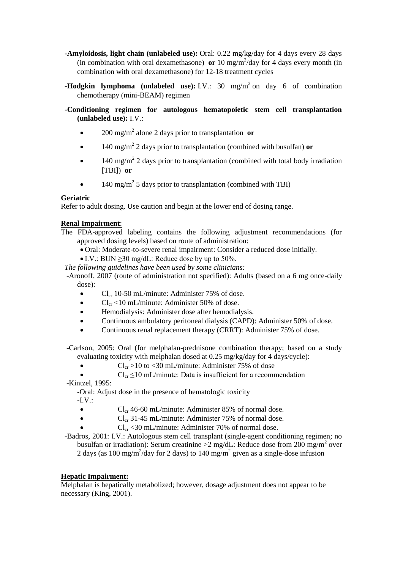- **-Amyloidosis, light chain (unlabeled use):** Oral: 0.22 mg/kg/day for 4 days every 28 days (in combination with oral dexamethasone) **or** 10 mg/m<sup>2</sup>/day for 4 days every month (in combination with oral dexamethasone) for 12-18 treatment cycles
- **-Hodgkin lymphoma (unlabeled use):** I.V.: 30 mg/m<sup>2</sup> on day 6 of combination chemotherapy (mini-BEAM) regimen
- **-Conditioning regimen for autologous hematopoietic stem cell transplantation (unlabeled use):** I.V.:
	- 200 mg/m<sup>2</sup> alone 2 days prior to transplantation **or**
	- 140 mg/m<sup>2</sup> 2 days prior to transplantation (combined with busulfan) or
	- $\bullet$  140 mg/m<sup>2</sup> 2 days prior to transplantation (combined with total body irradiation [TBI]) **or**
	- $\bullet$  140 mg/m<sup>2</sup> 5 days prior to transplantation (combined with TBI)

### **Geriatric**

Refer to adult dosing. Use caution and begin at the lower end of dosing range.

# **Renal Impairment**:

- The FDA-approved labeling contains the following adjustment recommendations (for approved dosing levels) based on route of administration:
	- Oral: Moderate-to-severe renal impairment: Consider a reduced dose initially.
	- $\bullet$  I.V.: BUN  $\geq$ 30 mg/dL: Reduce dose by up to 50%.
	- *The following guidelines have been used by some clinicians:*

 -Aronoff, 2007 (route of administration not specified): Adults (based on a 6 mg once-daily dose):

- $Cl_{cr}$  10-50 mL/minute: Administer 75% of dose.
- $\bullet$  Cl<sub>cr</sub> <10 mL/minute: Administer 50% of dose.
- Hemodialysis: Administer dose after hemodialysis.
- Continuous ambulatory peritoneal dialysis (CAPD): Administer 50% of dose.
- Continuous renal replacement therapy (CRRT): Administer 75% of dose.

 -Carlson, 2005: Oral (for melphalan-prednisone combination therapy; based on a study evaluating toxicity with melphalan dosed at 0.25 mg/kg/day for 4 days/cycle):

•  $Cl_{cr} > 10$  to <30 mL/minute: Administer 75% of dose

```
\bullet Cl<sub>cr</sub> \leq 10 mL/minute: Data is insufficient for a recommendation
```
-Kintzel, 1995:

-Oral: Adjust dose in the presence of hematologic toxicity

 $-I.V.:$ 

- $Cl_{cr}$  46-60 mL/minute: Administer 85% of normal dose.
- $Cl_{cr}$  31-45 mL/minute: Administer 75% of normal dose.
	- $Cl_{cr}$  <30 mL/minute: Administer 70% of normal dose.
- -Badros, 2001: I.V.: Autologous stem cell transplant (single-agent conditioning regimen; no busulfan or irradiation): Serum creatinine  $\geq 2$  mg/dL: Reduce dose from 200 mg/m<sup>2</sup> over 2 days (as 100 mg/m<sup>2</sup>/day for 2 days) to 140 mg/m<sup>2</sup> given as a single-dose infusion

# **Hepatic Impairment:**

Melphalan is hepatically metabolized; however, dosage adjustment does not appear to be necessary (King, 2001).